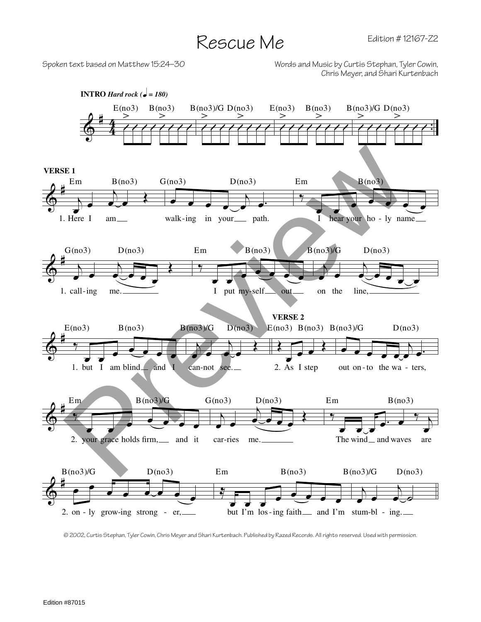## Rescue Me

Spoken text based on Matthew 15:24–30 Words and Music by Curtis Stephan, Tyler Cowin, Chris Meyer, and Shari Kurtenbach



© 2002, Curtis Stephan, Tyler Cowin, Chris Meyer and Shari Kurtenbach. Published by Razed Records. All rights reserved. Used with permission.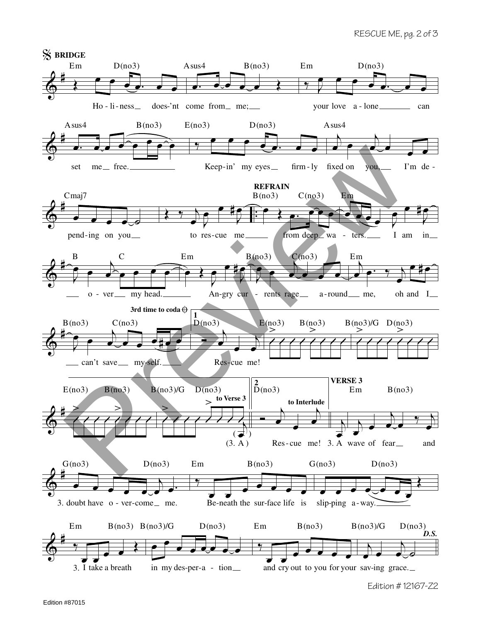## RESCUE ME, pg. 2 of 3



Edition # 12167-Z2